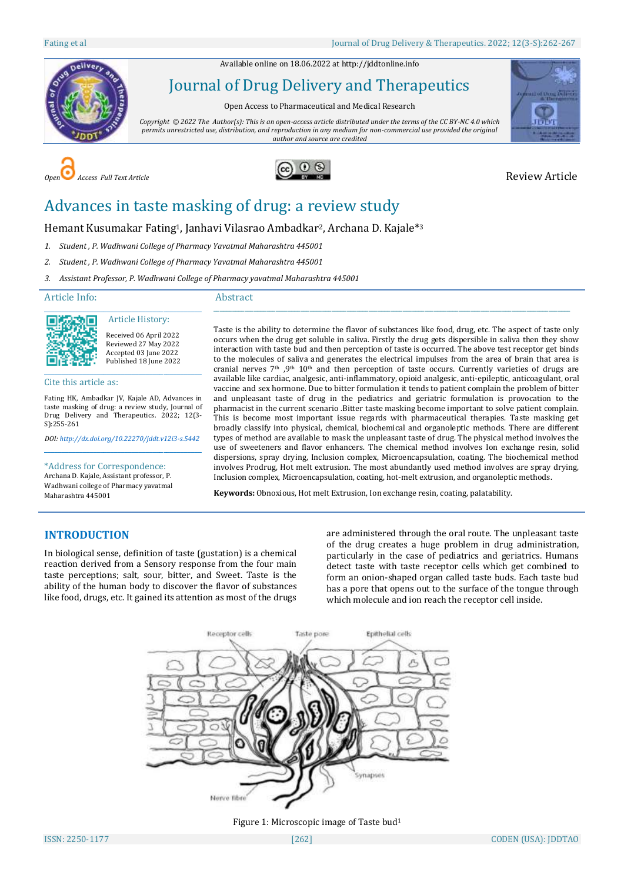Available online on 18.06.2022 a[t http://jddtonline.info](http://jddtonline.info/)



# Journal of Drug Delivery and Therapeutics

Open Access to Pharmaceutical and Medical Research

*Copyright © 2022 The Author(s): This is an open-access article distributed under the terms of the CC BY-NC 4.0 which permits unrestricted use, distribution, and reproduction in any medium for non-commercial use provided the original author and source are credited*







# Advances in taste masking of drug: a review study

Hemant Kusumakar Fating1, Janhavi Vilasrao Ambadkar2, Archana D. Kajale\*<sup>3</sup>

- *1. Student , P. Wadhwani College of Pharmacy Yavatmal Maharashtra 445001*
- *2. Student , P. Wadhwani College of Pharmacy Yavatmal Maharashtra 445001*
- *3. Assistant Professor, P. Wadhwani College of Pharmacy yavatmal Maharashtra 445001*

#### Article Info:

#### Abstract



Received 06 April 2022 Reviewed 27 May 2022 Accepted 03 June 2022

Published 18 June 2022

Cite this article as:

Fating HK, Ambadkar JV, Kajale AD, Advances in taste masking of drug: a review study, Journal of Drug Delivery and Therapeutics. 2022; 12(3- S):255-261

\_\_\_\_\_\_\_\_\_\_\_\_\_\_\_\_\_\_\_\_\_\_\_\_\_\_\_\_\_\_\_\_\_\_\_\_\_\_\_\_\_\_\_\_\_ Article History:

*DOI[: http://dx.doi.org/10.22270/jddt.v12i3-s.5442](http://dx.doi.org/10.22270/jddt.v12i3-s.5442)*  \_\_\_\_\_\_\_\_\_\_\_\_\_\_\_\_\_\_\_\_\_\_\_\_\_\_\_\_\_\_\_\_\_\_\_\_\_\_\_\_\_\_\_\_\_

\*Address for Correspondence: Archana D. Kajale, Assistant professor, P. Wadhwani college of Pharmacy yavatmal Maharashtra 445001

Taste is the ability to determine the flavor of substances like food, drug, etc. The aspect of taste only occurs when the drug get soluble in saliva. Firstly the drug gets dispersible in saliva then they show interaction with taste bud and then perception of taste is occurred. The above test receptor get binds to the molecules of saliva and generates the electrical impulses from the area of brain that area is cranial nerves 7<sup>th</sup> ,9<sup>th</sup> 10<sup>th</sup> and then perception of taste occurs. Currently varieties of drugs are available like cardiac, analgesic, anti-inflammatory, opioid analgesic, anti-epileptic, anticoagulant, oral vaccine and sex hormone. Due to bitter formulation it tends to patient complain the problem of bitter and unpleasant taste of drug in the pediatrics and geriatric formulation is provocation to the pharmacist in the current scenario .Bitter taste masking become important to solve patient complain. This is become most important issue regards with pharmaceutical therapies. Taste masking get broadly classify into physical, chemical, biochemical and organoleptic methods. There are different types of method are available to mask the unpleasant taste of drug. The physical method involves the use of sweeteners and flavor enhancers. The chemical method involves Ion exchange resin, solid dispersions, spray drying, Inclusion complex, Microencapsulation, coating. The biochemical method involves Prodrug, Hot melt extrusion. The most abundantly used method involves are spray drying, Inclusion complex, Microencapsulation, coating, hot-melt extrusion, and organoleptic methods.

\_\_\_\_\_\_\_\_\_\_\_\_\_\_\_\_\_\_\_\_\_\_\_\_\_\_\_\_\_\_\_\_\_\_\_\_\_\_\_\_\_\_\_\_\_\_\_\_\_\_\_\_\_\_\_\_\_\_\_\_\_\_\_\_\_\_\_\_\_\_\_\_\_\_\_\_\_\_\_\_\_\_\_\_\_\_\_\_\_\_\_\_\_\_\_\_\_\_\_\_\_\_\_\_\_\_\_\_\_\_\_\_\_\_\_

**Keywords:** Obnoxious, Hot melt Extrusion, Ion exchange resin, coating, palatability.

# **INTRODUCTION**

In biological sense, definition of taste (gustation) is a chemical reaction derived from a Sensory response from the four main taste perceptions; salt, sour, bitter, and Sweet. Taste is the ability of the human body to discover the flavor of substances like food, drugs, etc. It gained its attention as most of the drugs

are administered through the oral route. The unpleasant taste of the drug creates a huge problem in drug administration, particularly in the case of pediatrics and geriatrics. Humans detect taste with taste receptor cells which get combined to form an onion-shaped organ called taste buds. Each taste bud has a pore that opens out to the surface of the tongue through which molecule and ion reach the receptor cell inside.



Figure 1: Microscopic image of Taste bud<sup>1</sup>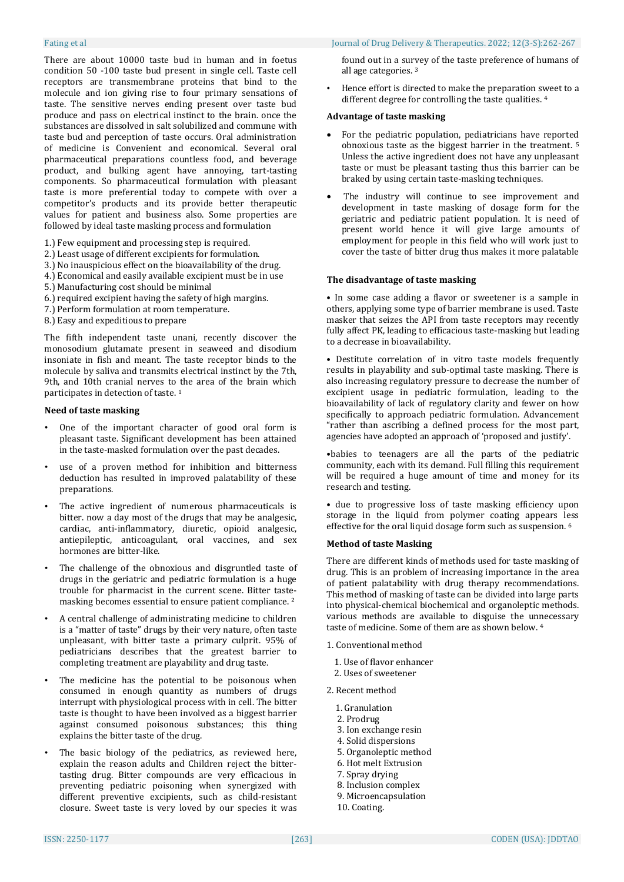There are about 10000 taste bud in human and in foetus condition 50 -100 taste bud present in single cell. Taste cell receptors are transmembrane proteins that bind to the molecule and ion giving rise to four primary sensations of taste. The sensitive nerves ending present over taste bud produce and pass on electrical instinct to the brain. once the substances are dissolved in salt solubilized and commune with taste bud and perception of taste occurs. Oral administration of medicine is Convenient and economical. Several oral pharmaceutical preparations countless food, and beverage product, and bulking agent have annoying, tart-tasting components. So pharmaceutical formulation with pleasant taste is more preferential today to compete with over a competitor's products and its provide better therapeutic values for patient and business also. Some properties are followed by ideal taste masking process and formulation

- 1.) Few equipment and processing step is required.
- 2.) Least usage of different excipients for formulation.
- 3.) No inauspicious effect on the bioavailability of the drug.
- 4.) Economical and easily available excipient must be in use
- 5.) Manufacturing cost should be minimal
- 6.) required excipient having the safety of high margins.
- 7.) Perform formulation at room temperature.
- 8.) Easy and expeditious to prepare

The fifth independent taste unani, recently discover the monosodium glutamate present in seaweed and disodium insoniate in fish and meant. The taste receptor binds to the molecule by saliva and transmits electrical instinct by the 7th, 9th, and 10th cranial nerves to the area of the brain which participates in detection of taste. <sup>1</sup>

#### **Need of taste masking**

- One of the important character of good oral form is pleasant taste. Significant development has been attained in the taste-masked formulation over the past decades.
- use of a proven method for inhibition and bitterness deduction has resulted in improved palatability of these preparations.
- The active ingredient of numerous pharmaceuticals is bitter. now a day most of the drugs that may be analgesic, cardiac, anti-inflammatory, diuretic, opioid analgesic, antiepileptic, anticoagulant, oral vaccines, and sex hormones are bitter-like.
- The challenge of the obnoxious and disgruntled taste of drugs in the geriatric and pediatric formulation is a huge trouble for pharmacist in the current scene. Bitter tastemasking becomes essential to ensure patient compliance. <sup>2</sup>
- A central challenge of administrating medicine to children is a "matter of taste" drugs by their very nature, often taste unpleasant, with bitter taste a primary culprit. 95% of pediatricians describes that the greatest barrier to completing treatment are playability and drug taste.
- The medicine has the potential to be poisonous when consumed in enough quantity as numbers of drugs interrupt with physiological process with in cell. The bitter taste is thought to have been involved as a biggest barrier against consumed poisonous substances; this thing explains the bitter taste of the drug.
- The basic biology of the pediatrics, as reviewed here, explain the reason adults and Children reject the bittertasting drug. Bitter compounds are very efficacious in preventing pediatric poisoning when synergized with different preventive excipients, such as child-resistant closure. Sweet taste is very loved by our species it was

#### Fating et al Journal of Drug Delivery & Therapeutics. 2022; 12(3-S):262-267

found out in a survey of the taste preference of humans of all age categories. <sup>3</sup>

• Hence effort is directed to make the preparation sweet to a different degree for controlling the taste qualities. <sup>4</sup>

#### **Advantage of taste masking**

- For the pediatric population, pediatricians have reported obnoxious taste as the biggest barrier in the treatment. <sup>5</sup> Unless the active ingredient does not have any unpleasant taste or must be pleasant tasting thus this barrier can be braked by using certain taste-masking techniques.
- The industry will continue to see improvement and development in taste masking of dosage form for the geriatric and pediatric patient population. It is need of present world hence it will give large amounts of employment for people in this field who will work just to cover the taste of bitter drug thus makes it more palatable

#### **The disadvantage of taste masking**

• In some case adding a flavor or sweetener is a sample in others, applying some type of barrier membrane is used. Taste masker that seizes the API from taste receptors may recently fully affect PK, leading to efficacious taste-masking but leading to a decrease in bioavailability.

• Destitute correlation of in vitro taste models frequently results in playability and sub-optimal taste masking. There is also increasing regulatory pressure to decrease the number of excipient usage in pediatric formulation, leading to the bioavailability of lack of regulatory clarity and fewer on how specifically to approach pediatric formulation. Advancement "rather than ascribing a defined process for the most part, agencies have adopted an approach of 'proposed and justify'.

•babies to teenagers are all the parts of the pediatric community, each with its demand. Full filling this requirement will be required a huge amount of time and money for its research and testing.

• due to progressive loss of taste masking efficiency upon storage in the liquid from polymer coating appears less effective for the oral liquid dosage form such as suspension. <sup>6</sup>

#### **Method of taste Masking**

There are different kinds of methods used for taste masking of drug. This is an problem of increasing importance in the area of patient palatability with drug therapy recommendations. This method of masking of taste can be divided into large parts into physical-chemical biochemical and organoleptic methods. various methods are available to disguise the unnecessary taste of medicine. Some of them are as shown below. <sup>4</sup>

- 1. Conventional method
	- 1. Use of flavor enhancer
	- 2. Uses of sweetener
- 2. Recent method
	- 1. Granulation
	- 2. Prodrug
	- 3. Ion exchange resin
	- 4. Solid dispersions
	- 5. Organoleptic method
	- 6. Hot melt Extrusion
	- 7. Spray drying
	- 8. Inclusion complex
	- 9. Microencapsulation
	- 10. Coating.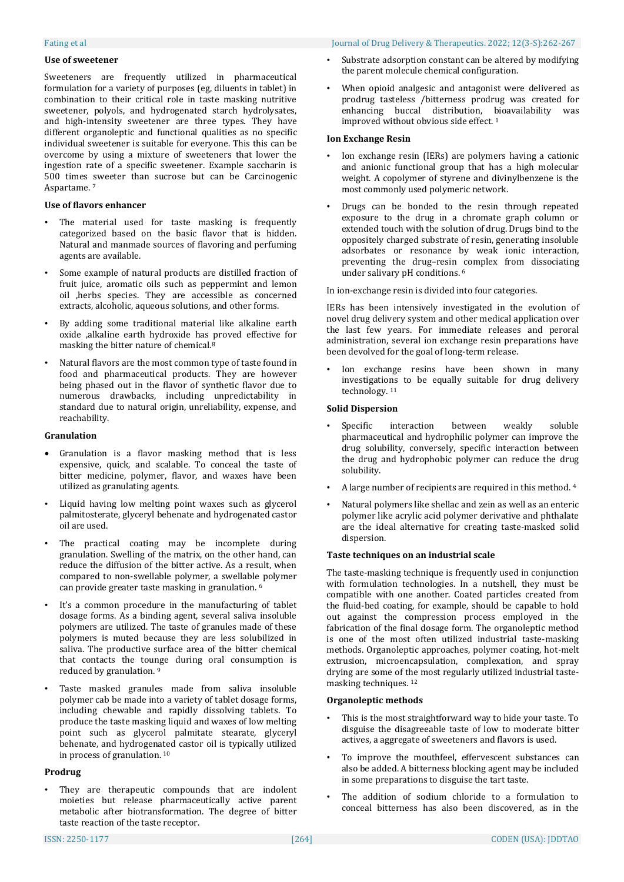#### Fating et al Journal of Drug Delivery & Therapeutics. 2022; 12(3-S):262-267

#### **Use of sweetener**

Sweeteners are frequently utilized in pharmaceutical formulation for a variety of purposes (eg, diluents in tablet) in combination to their critical role in taste masking nutritive sweetener, polyols, and hydrogenated starch hydrolysates, and high-intensity sweetener are three types. They have different organoleptic and functional qualities as no specific individual sweetener is suitable for everyone. This this can be overcome by using a mixture of sweeteners that lower the ingestion rate of a specific sweetener. Example saccharin is 500 times sweeter than sucrose but can be Carcinogenic Aspartame. <sup>7</sup>

### **Use of flavors enhancer**

- The material used for taste masking is frequently categorized based on the basic flavor that is hidden. Natural and manmade sources of flavoring and perfuming agents are available.
- Some example of natural products are distilled fraction of fruit juice, aromatic oils such as peppermint and lemon oil ,herbs species. They are accessible as concerned extracts, alcoholic, aqueous solutions, and other forms.
- By adding some traditional material like alkaline earth oxide ,alkaline earth hydroxide has proved effective for masking the bitter nature of chemical.<sup>8</sup>
- Natural flavors are the most common type of taste found in food and pharmaceutical products. They are however being phased out in the flavor of synthetic flavor due to numerous drawbacks, including unpredictability in standard due to natural origin, unreliability, expense, and reachability.

### **Granulation**

- Granulation is a flavor masking method that is less expensive, quick, and scalable. To conceal the taste of bitter medicine, polymer, flavor, and waxes have been utilized as granulating agents.
- Liquid having low melting point waxes such as glycerol palmitosterate, glyceryl behenate and hydrogenated castor oil are used.
- The practical coating may be incomplete during granulation. Swelling of the matrix, on the other hand, can reduce the diffusion of the bitter active. As a result, when compared to non-swellable polymer, a swellable polymer can provide greater taste masking in granulation. <sup>6</sup>
- It's a common procedure in the manufacturing of tablet dosage forms. As a binding agent, several saliva insoluble polymers are utilized. The taste of granules made of these polymers is muted because they are less solubilized in saliva. The productive surface area of the bitter chemical that contacts the tounge during oral consumption is reduced by granulation. <sup>9</sup>
- Taste masked granules made from saliva insoluble polymer cab be made into a variety of tablet dosage forms, including chewable and rapidly dissolving tablets. To produce the taste masking liquid and waxes of low melting point such as glycerol palmitate stearate, glyceryl behenate, and hydrogenated castor oil is typically utilized in process of granulation. 10

#### **Prodrug**

They are therapeutic compounds that are indolent moieties but release pharmaceutically active parent metabolic after biotransformation. The degree of bitter taste reaction of the taste receptor.

- Substrate adsorption constant can be altered by modifying the parent molecule chemical configuration.
- When opioid analgesic and antagonist were delivered as prodrug tasteless /bitterness prodrug was created for enhancing buccal distribution, bioavailability was improved without obvious side effect. <sup>1</sup>

### **Ion Exchange Resin**

- Ion exchange resin (IERs) are polymers having a cationic and anionic functional group that has a high molecular weight. A copolymer of styrene and divinylbenzene is the most commonly used polymeric network.
- Drugs can be bonded to the resin through repeated exposure to the drug in a chromate graph column or extended touch with the solution of drug. Drugs bind to the oppositely charged substrate of resin, generating insoluble adsorbates or resonance by weak ionic interaction, preventing the drug–resin complex from dissociating under salivary pH conditions. <sup>6</sup>

In ion-exchange resin is divided into four categories.

IERs has been intensively investigated in the evolution of novel drug delivery system and other medical application over the last few years. For immediate releases and peroral administration, several ion exchange resin preparations have been devolved for the goal of long-term release.

Ion exchange resins have been shown in many investigations to be equally suitable for drug delivery technology. <sup>11</sup>

### **Solid Dispersion**

- Specific interaction between weakly soluble pharmaceutical and hydrophilic polymer can improve the drug solubility, conversely, specific interaction between the drug and hydrophobic polymer can reduce the drug solubility.
- A large number of recipients are required in this method. <sup>4</sup>
- Natural polymers like shellac and zein as well as an enteric polymer like acrylic acid polymer derivative and phthalate are the ideal alternative for creating taste-masked solid dispersion.

#### **Taste techniques on an industrial scale**

The taste-masking technique is frequently used in conjunction with formulation technologies. In a nutshell, they must be compatible with one another. Coated particles created from the fluid-bed coating, for example, should be capable to hold out against the compression process employed in the fabrication of the final dosage form. The organoleptic method is one of the most often utilized industrial taste-masking methods. Organoleptic approaches, polymer coating, hot-melt extrusion, microencapsulation, complexation, and spray drying are some of the most regularly utilized industrial tastemasking techniques. <sup>12</sup>

#### **Organoleptic methods**

- This is the most straightforward way to hide your taste. To disguise the disagreeable taste of low to moderate bitter actives, a aggregate of sweeteners and flavors is used.
- To improve the mouthfeel, effervescent substances can also be added. A bitterness blocking agent may be included in some preparations to disguise the tart taste.
- The addition of sodium chloride to a formulation to conceal bitterness has also been discovered, as in the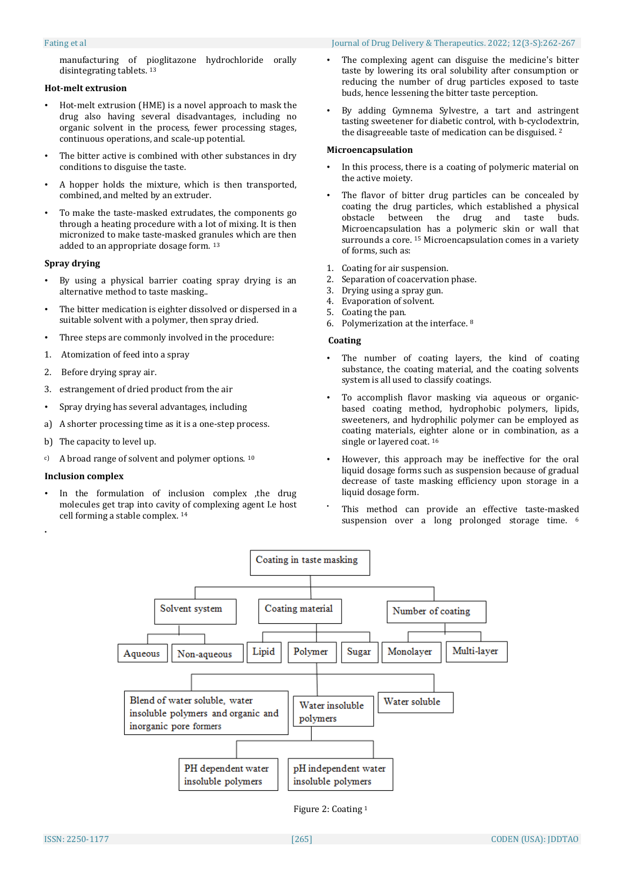manufacturing of pioglitazone hydrochloride orally disintegrating tablets. <sup>13</sup>

#### **Hot-melt extrusion**

- Hot-melt extrusion (HME) is a novel approach to mask the drug also having several disadvantages, including no organic solvent in the process, fewer processing stages, continuous operations, and scale-up potential.
- The bitter active is combined with other substances in dry conditions to disguise the taste.
- A hopper holds the mixture, which is then transported, combined, and melted by an extruder.
- To make the taste-masked extrudates, the components go through a heating procedure with a lot of mixing. It is then micronized to make taste-masked granules which are then added to an appropriate dosage form. <sup>13</sup>

#### **Spray drying**

- By using a physical barrier coating spray drying is an alternative method to taste masking..
- The bitter medication is eighter dissolved or dispersed in a suitable solvent with a polymer, then spray dried.
- Three steps are commonly involved in the procedure:
- 1. Atomization of feed into a spray
- 2. Before drying spray air.
- 3. estrangement of dried product from the air
- Spray drying has several advantages, including
- a) A shorter processing time as it is a one-step process.
- b) The capacity to level up.
- $c)$  A broad range of solvent and polymer options.  $10$

#### **Inclusion complex**

•

In the formulation of inclusion complex , the drug molecules get trap into cavity of complexing agent I.e host cell forming a stable complex. <sup>14</sup>

# Fating et al Journal of Drug Delivery & Therapeutics. 2022; 12(3-S):262-267

- The complexing agent can disguise the medicine's bitter taste by lowering its oral solubility after consumption or reducing the number of drug particles exposed to taste buds, hence lessening the bitter taste perception.
- By adding Gymnema Sylvestre, a tart and astringent tasting sweetener for diabetic control, with b-cyclodextrin, the disagreeable taste of medication can be disguised. <sup>2</sup>

#### **Microencapsulation**

- In this process, there is a coating of polymeric material on the active moiety.
- The flavor of bitter drug particles can be concealed by coating the drug particles, which established a physical obstacle between the drug and taste buds. Microencapsulation has a polymeric skin or wall that surrounds a core. <sup>15</sup> Microencapsulation comes in a variety of forms, such as:
- 1. Coating for air suspension.
- 2. Separation of coacervation phase.
- 3. Drying using a spray gun.
- 4. Evaporation of solvent.
- 5. Coating the pan.
- 6. Polymerization at the interface. <sup>8</sup>

#### **Coating**

- The number of coating layers, the kind of coating substance, the coating material, and the coating solvents system is all used to classify coatings.
- To accomplish flavor masking via aqueous or organicbased coating method, hydrophobic polymers, lipids, sweeteners, and hydrophilic polymer can be employed as coating materials, eighter alone or in combination, as a single or layered coat. <sup>16</sup>
- However, this approach may be ineffective for the oral liquid dosage forms such as suspension because of gradual decrease of taste masking efficiency upon storage in a liquid dosage form.
- This method can provide an effective taste-masked suspension over a long prolonged storage time. <sup>6</sup>



Figure 2: Coating <sup>1</sup>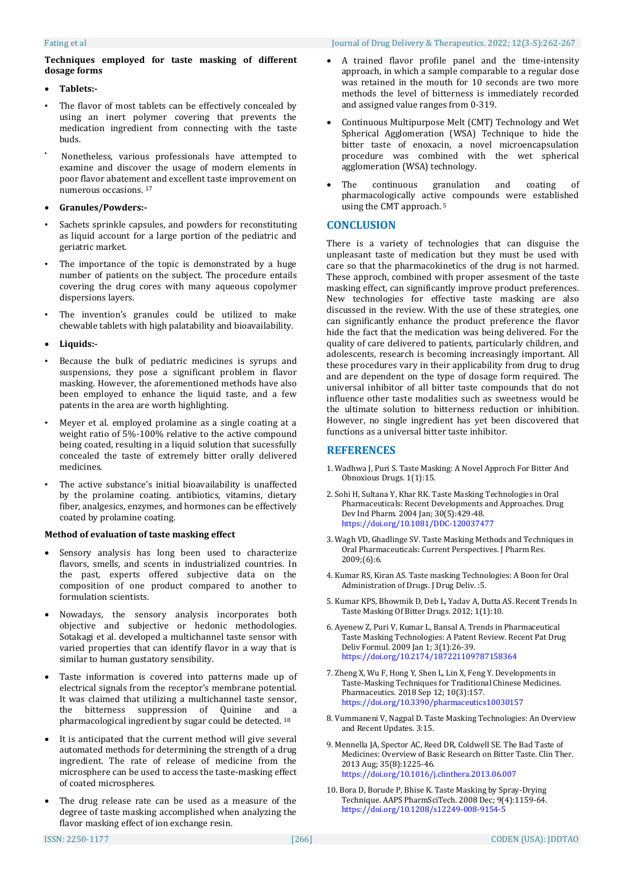#### Fating et al Journal of Drug Delivery & Therapeutics. 2022; 12(3-S):262-267

**Techniques employed for taste masking of different dosage forms**

- **Tablets:-**
- The flavor of most tablets can be effectively concealed by using an inert polymer covering that prevents the medication ingredient from connecting with the taste buds.
- Nonetheless, various professionals have attempted to examine and discover the usage of modern elements in poor flavor abatement and excellent taste improvement on numerous occasions. <sup>17</sup>
- **Granules/Powders:-**
- Sachets sprinkle capsules, and powders for reconstituting as liquid account for a large portion of the pediatric and geriatric market.
- The importance of the topic is demonstrated by a huge number of patients on the subject. The procedure entails covering the drug cores with many aqueous copolymer dispersions layers.
- The invention's granules could be utilized to make chewable tablets with high palatability and bioavailability.
- **Liquids:-**
- Because the bulk of pediatric medicines is syrups and suspensions, they pose a significant problem in flavor masking. However, the aforementioned methods have also been employed to enhance the liquid taste, and a few patents in the area are worth highlighting.
- Meyer et al. employed prolamine as a single coating at a weight ratio of 5%-100% relative to the active compound being coated, resulting in a liquid solution that sucessfully concealed the taste of extremely bitter orally delivered medicines.
- The active substance's initial bioavailability is unaffected by the prolamine coating. antibiotics, vitamins, dietary fiber, analgesics, enzymes, and hormones can be effectively coated by prolamine coating.

### **Method of evaluation of taste masking effect**

- Sensory analysis has long been used to characterize flavors, smells, and scents in industrialized countries. In the past, experts offered subjective data on the composition of one product compared to another to formulation scientists.
- Nowadays, the sensory analysis incorporates both objective and subjective or hedonic methodologies. Sotakagi et al. developed a multichannel taste sensor with varied properties that can identify flavor in a way that is similar to human gustatory sensibility.
- Taste information is covered into patterns made up of electrical signals from the receptor's membrane potential. It was claimed that utilizing a multichannel taste sensor, the bitterness suppression of Quinine and a pharmacological ingredient by sugar could be detected. <sup>18</sup>
- It is anticipated that the current method will give several automated methods for determining the strength of a drug ingredient. The rate of release of medicine from the microsphere can be used to access the taste-masking effect of coated microspheres.
- The drug release rate can be used as a measure of the degree of taste masking accomplished when analyzing the flavor masking effect of ion exchange resin.
- A trained flavor profile panel and the time-intensity approach, in which a sample comparable to a regular dose was retained in the mouth for 10 seconds are two more methods the level of bitterness is immediately recorded and assigned value ranges from 0-319.
- Continuous Multipurpose Melt (CMT) Technology and Wet Spherical Agglomeration (WSA) Technique to hide the bitter taste of enoxacin, a novel microencapsulation procedure was combined with the wet spherical agglomeration (WSA) technology.
- The continuous granulation and coating of pharmacologically active compounds were established using the CMT approach. <sup>5</sup>

# **CONCLUSION**

There is a variety of technologies that can disguise the unpleasant taste of medication but they must be used with care so that the pharmacokinetics of the drug is not harmed. These approch, combined with proper assesment of the taste masking effect, can significantly improve product preferences. New technologies for effective taste masking are also discussed in the review. With the use of these strategies, one can significantly enhance the product preference the flavor hide the fact that the medication was being delivered. For the quality of care delivered to patients, particularly children, and adolescents, research is becoming increasingly important. All these procedures vary in their applicability from drug to drug and are dependent on the type of dosage form required. The universal inhibitor of all bitter taste compounds that do not influence other taste modalities such as sweetness would be the ultimate solution to bitterness reduction or inhibition. However, no single ingredient has yet been discovered that functions as a universal bitter taste inhibitor.

# **REFERENCES**

- 1. Wadhwa J, Puri S. Taste Masking: A Novel Approch For Bitter And Obnoxious Drugs. 1(1):15.
- 2. Sohi H, Sultana Y, Khar RK. Taste Masking Technologies in Oral Pharmaceuticals: Recent Developments and Approaches. Drug Dev Ind Pharm. 2004 Jan; 30(5):429-48. <https://doi.org/10.1081/DDC-120037477>
- 3. Wagh VD, Ghadlinge SV. Taste Masking Methods and Techniques in Oral Pharmaceuticals: Current Perspectives. J Pharm Res. 2009;(6):6.
- 4. Kumar RS, Kiran AS. Taste masking Technologies: A Boon for Oral Administration of Drugs. J Drug Deliy. : 5.
- 5. Kumar KPS, Bhowmik D, Deb L, Yadav A, Dutta AS. Recent Trends In Taste Masking Of Bitter Drugs. 2012; 1(1):10.
- 6. Ayenew Z, Puri V, Kumar L, Bansal A. Trends in Pharmaceutical Taste Masking Technologies: A Patent Review. Recent Pat Drug Deliv Formul. 2009 Jan 1; 3(1):26-39. <https://doi.org/10.2174/187221109787158364>
- 7. Zheng X, Wu F, Hong Y, Shen L, Lin X, Feng Y. Developments in Taste-Masking Techniques for Traditional Chinese Medicines. Pharmaceutics. 2018 Sep 12; 10(3):157. <https://doi.org/10.3390/pharmaceutics10030157>
- 8. Vummaneni V, Nagpal D. Taste Masking Technologies: An Overview and Recent Updates. 3:15.
- 9. Mennella JA, Spector AC, Reed DR, Coldwell SE. The Bad Taste of Medicines: Overview of Basic Research on Bitter Taste. Clin Ther. 2013 Aug; 35(8):1225-46. <https://doi.org/10.1016/j.clinthera.2013.06.007>
- 10. Bora D, Borude P, Bhise K. Taste Masking by Spray-Drying Technique. AAPS PharmSciTech. 2008 Dec; 9(4):1159-64. <https://doi.org/10.1208/s12249-008-9154-5>